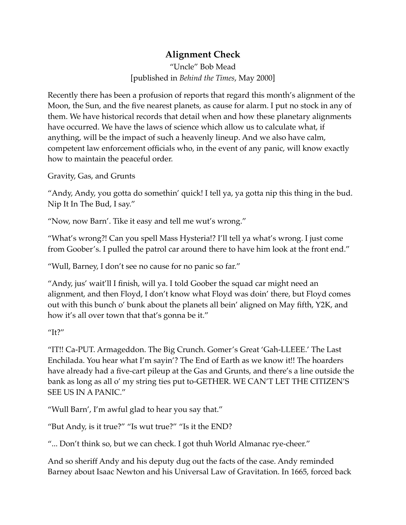## **Alignment Check**

"Uncle" Bob Mead [published in *Behind the Times*, May 2000]

Recently there has been a profusion of reports that regard this month's alignment of the Moon, the Sun, and the five nearest planets, as cause for alarm. I put no stock in any of them. We have historical records that detail when and how these planetary alignments have occurred. We have the laws of science which allow us to calculate what, if anything, will be the impact of such a heavenly lineup. And we also have calm, competent law enforcement officials who, in the event of any panic, will know exactly how to maintain the peaceful order.

Gravity, Gas, and Grunts

"Andy, Andy, you gotta do somethin' quick! I tell ya, ya gotta nip this thing in the bud. Nip It In The Bud, I say."

"Now, now Barn'. Tike it easy and tell me wut's wrong."

"What's wrong?! Can you spell Mass Hysteria!? I'll tell ya what's wrong. I just come from Goober's. I pulled the patrol car around there to have him look at the front end."

"Wull, Barney, I don't see no cause for no panic so far."

"Andy, jus' wait'll I finish, will ya. I told Goober the squad car might need an alignment, and then Floyd, I don't know what Floyd was doin' there, but Floyd comes out with this bunch o' bunk about the planets all bein' aligned on May fifth, Y2K, and how it's all over town that that's gonna be it."

"It?"

"IT!! Ca-PUT. Armageddon. The Big Crunch. Gomer's Great 'Gah-LLEEE.' The Last Enchilada. You hear what I'm sayin'? The End of Earth as we know it!! The hoarders have already had a five-cart pileup at the Gas and Grunts, and there's a line outside the bank as long as all o' my string ties put to-GETHER. WE CAN'T LET THE CITIZEN'S SEE US IN A PANIC."

"Wull Barn', I'm awful glad to hear you say that."

"But Andy, is it true?" "Is wut true?" "Is it the END?

"... Don't think so, but we can check. I got thuh World Almanac rye-cheer."

And so sheriff Andy and his deputy dug out the facts of the case. Andy reminded Barney about Isaac Newton and his Universal Law of Gravitation. In 1665, forced back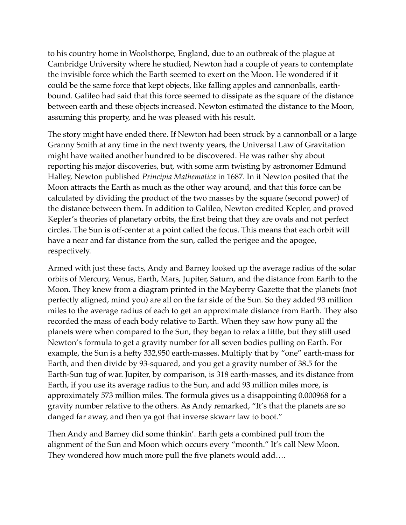to his country home in Woolsthorpe, England, due to an outbreak of the plague at Cambridge University where he studied, Newton had a couple of years to contemplate the invisible force which the Earth seemed to exert on the Moon. He wondered if it could be the same force that kept objects, like falling apples and cannonballs, earthbound. Galileo had said that this force seemed to dissipate as the square of the distance between earth and these objects increased. Newton estimated the distance to the Moon, assuming this property, and he was pleased with his result.

The story might have ended there. If Newton had been struck by a cannonball or a large Granny Smith at any time in the next twenty years, the Universal Law of Gravitation might have waited another hundred to be discovered. He was rather shy about reporting his major discoveries, but, with some arm twisting by astronomer Edmund Halley, Newton published *Principia Mathematica* in 1687. In it Newton posited that the Moon attracts the Earth as much as the other way around, and that this force can be calculated by dividing the product of the two masses by the square (second power) of the distance between them. In addition to Galileo, Newton credited Kepler, and proved Kepler's theories of planetary orbits, the first being that they are ovals and not perfect circles. The Sun is off-center at a point called the focus. This means that each orbit will have a near and far distance from the sun, called the perigee and the apogee, respectively.

Armed with just these facts, Andy and Barney looked up the average radius of the solar orbits of Mercury, Venus, Earth, Mars, Jupiter, Saturn, and the distance from Earth to the Moon. They knew from a diagram printed in the Mayberry Gazette that the planets (not perfectly aligned, mind you) are all on the far side of the Sun. So they added 93 million miles to the average radius of each to get an approximate distance from Earth. They also recorded the mass of each body relative to Earth. When they saw how puny all the planets were when compared to the Sun, they began to relax a little, but they still used Newton's formula to get a gravity number for all seven bodies pulling on Earth. For example, the Sun is a hefty 332,950 earth-masses. Multiply that by "one" earth-mass for Earth, and then divide by 93-squared, and you get a gravity number of 38.5 for the Earth-Sun tug of war. Jupiter, by comparison, is 318 earth-masses, and its distance from Earth, if you use its average radius to the Sun, and add 93 million miles more, is approximately 573 million miles. The formula gives us a disappointing 0.000968 for a gravity number relative to the others. As Andy remarked, "It's that the planets are so danged far away, and then ya got that inverse skwarr law to boot."

Then Andy and Barney did some thinkin'. Earth gets a combined pull from the alignment of the Sun and Moon which occurs every "moonth." It's call New Moon. They wondered how much more pull the five planets would add….